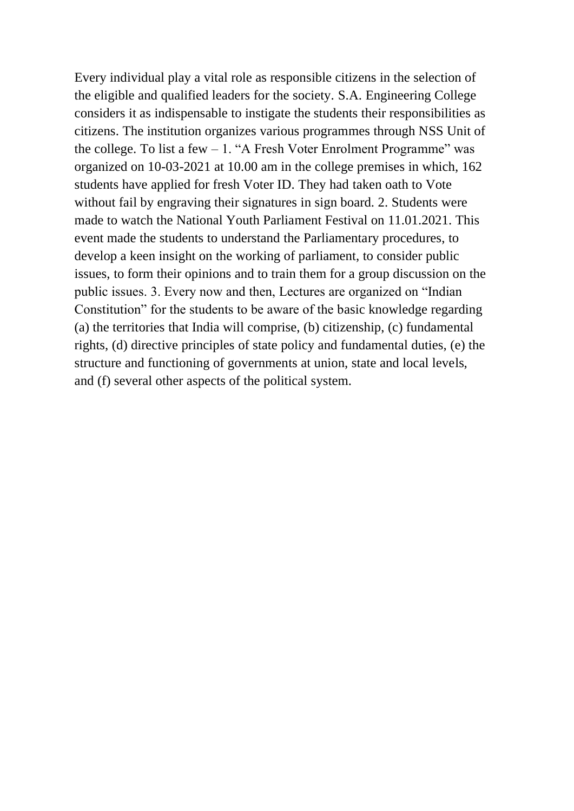Every individual play a vital role as responsible citizens in the selection of the eligible and qualified leaders for the society. S.A. Engineering College considers it as indispensable to instigate the students their responsibilities as citizens. The institution organizes various programmes through NSS Unit of the college. To list a few  $-1$ . "A Fresh Voter Enrolment Programme" was organized on 10-03-2021 at 10.00 am in the college premises in which, 162 students have applied for fresh Voter ID. They had taken oath to Vote without fail by engraving their signatures in sign board. 2. Students were made to watch the National Youth Parliament Festival on 11.01.2021. This event made the students to understand the Parliamentary procedures, to develop a keen insight on the working of parliament, to consider public issues, to form their opinions and to train them for a group discussion on the public issues. 3. Every now and then, Lectures are organized on "Indian Constitution" for the students to be aware of the basic knowledge regarding (a) the territories that India will comprise, (b) citizenship, (c) fundamental rights, (d) directive principles of state policy and fundamental duties, (e) the structure and functioning of governments at union, state and local levels, and (f) several other aspects of the political system.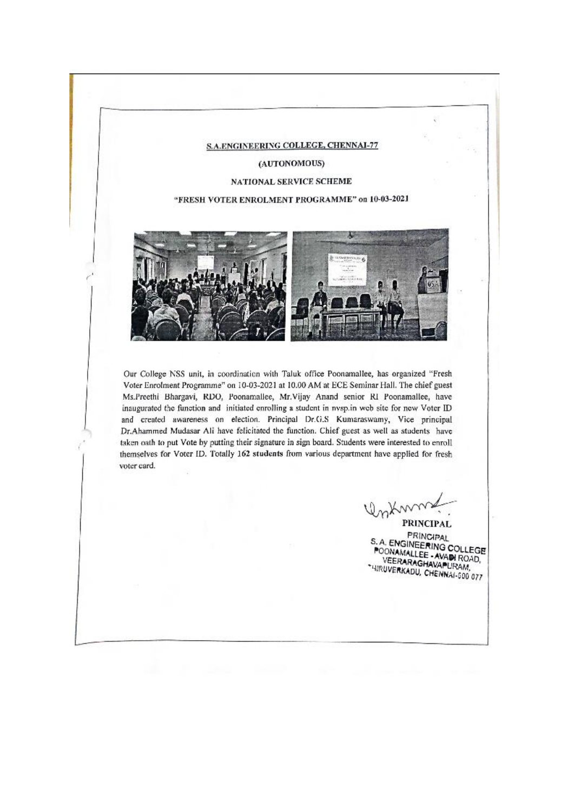#### **S.A.ENGINEERING COLLEGE, CHENNAI-77**

(AUTONOMOUS)

#### **NATIONAL SERVICE SCHEME**

### "FRESH VOTER ENROLMENT PROGRAMME" on 10-03-2021



Our College NSS unit, in coordination with Taluk office Poonamallee, has organized "Fresh Voter Enrolment Programme" on 10-03-2021 at 10.00 AM at ECE Seminar Hall. The chief guest Ms.Preethi Bhargavi, RDO, Poonamallee, Mr.Vijay Anand senior RI Poonamallee, have inaugurated the function and initiated enrolling a student in nysp.in web site for new Voter ID and created awareness on election. Principal Dr.G.S Kumaraswamy, Vice principal Dr.Ahammed Mudasar Ali have felicitated the function. Chief guest as well as students have taken oath to put Vote by putting their signature in sign board. Students were interested to enroll themselves for Voter ID. Totally 162 students from various department have applied for fresh voter card.

PRINCIPAL **PRINCIPAL** S.A. ENGINEERING COLLEGE POONAMALLEE - AVAIN ROAD, VEERARAGHAVAPURAM, "HIRUVERKADU, CHENNAI-600 077